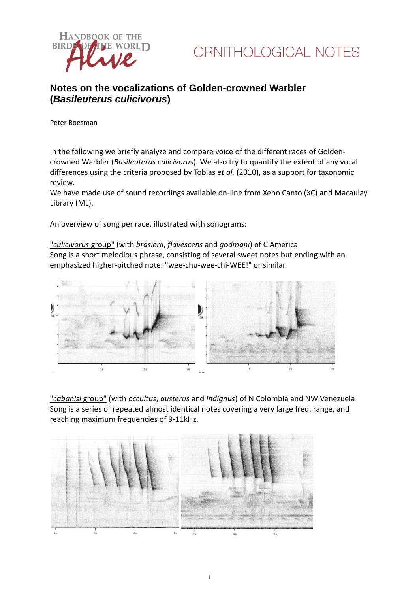



### **Notes on the vocalizations of Golden-crowned Warbler (***Basileuterus culicivorus***)**

Peter Boesman

In the following we briefly analyze and compare voice of the different races of Goldencrowned Warbler (*Basileuterus culicivorus*)*.* We also try to quantify the extent of any vocal differences using the criteria proposed by Tobias *et al.* (2010), as a support for taxonomic review.

We have made use of sound recordings available on-line from Xeno Canto (XC) and Macaulay Library (ML).

An overview of song per race, illustrated with sonograms:

"*culicivorus* group" (with *brasierii*, *flavescens* and *godmani*) of C America Song is a short melodious phrase, consisting of several sweet notes but ending with an emphasized higher-pitched note: "wee-chu-wee-chi-WEE!" or similar.



"*cabanisi* group" (with *occultus*, *austerus* and *indignus*) of N Colombia and NW Venezuela Song is a series of repeated almost identical notes covering a very large freq. range, and reaching maximum frequencies of 9-11kHz.

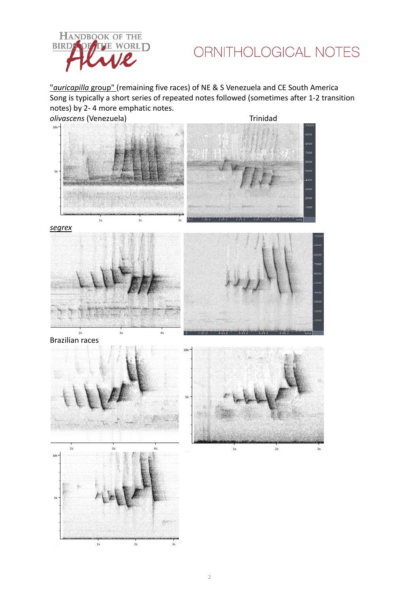

## ORNITHOLOGICAL NOTES

"*auricapilla* group" (remaining five races) of NE & S Venezuela and CE South America Song is typically a short series of repeated notes followed (sometimes after 1-2 transition notes) by 2- 4 more emphatic notes.



*segrex*





Brazilian races





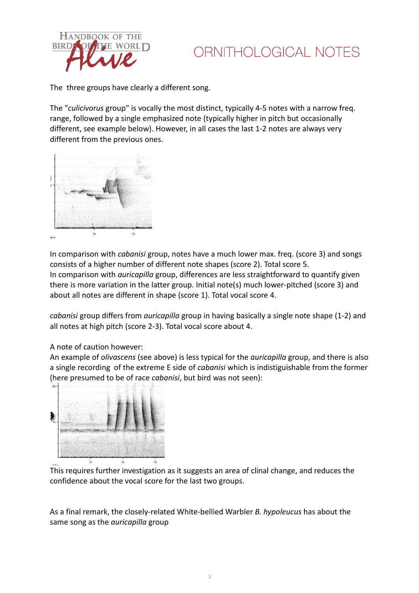

# ORNITHOLOGICAL NOTES

The three groups have clearly a different song.

The "*culicivorus* group" is vocally the most distinct, typically 4-5 notes with a narrow freq. range, followed by a single emphasized note (typically higher in pitch but occasionally different, see example below). However, in all cases the last 1-2 notes are always very different from the previous ones.



In comparison with *cabanisi* group, notes have a much lower max. freq. (score 3) and songs consists of a higher number of different note shapes (score 2). Total score 5. In comparison with *auricapilla* group, differences are less straightforward to quantify given there is more variation in the latter group. Initial note(s) much lower-pitched (score 3) and about all notes are different in shape (score 1). Total vocal score 4.

*cabanisi* group differs from *auricapilla* group in having basically a single note shape (1-2) and all notes at high pitch (score 2-3). Total vocal score about 4.

#### A note of caution however:

An example of *olivascens* (see above) is less typical for the *auricapilla* group, and there is also a single recording of the extreme E side of *cabanisi* which is indistiguishable from the former (here presumed to be of race *cabanisi*, but bird was not seen):



This requires further investigation as it suggests an area of clinal change, and reduces the confidence about the vocal score for the last two groups.

As a final remark, the closely-related White-bellied Warbler *B. hypoleucus* has about the same song as the *auricapilla* group